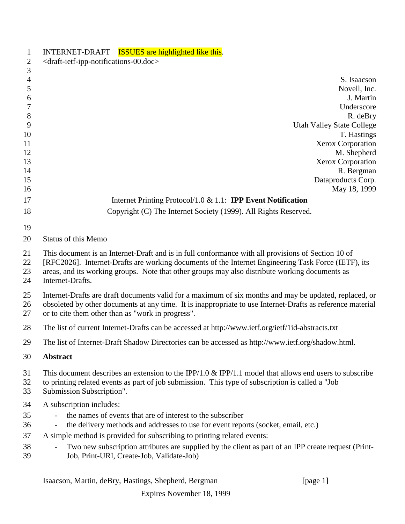| $\mathbf{1}$         | INTERNET-DRAFT <b>ISSUES</b> are highlighted like this.                                                                                                                                                                                                                                                                         |
|----------------------|---------------------------------------------------------------------------------------------------------------------------------------------------------------------------------------------------------------------------------------------------------------------------------------------------------------------------------|
| $\overline{2}$       | <draft-ietf-ipp-notifications-00.doc></draft-ietf-ipp-notifications-00.doc>                                                                                                                                                                                                                                                     |
| 3                    |                                                                                                                                                                                                                                                                                                                                 |
| $\overline{4}$<br>5  | S. Isaacson                                                                                                                                                                                                                                                                                                                     |
| 6                    | Novell, Inc.<br>J. Martin                                                                                                                                                                                                                                                                                                       |
| 7                    | Underscore                                                                                                                                                                                                                                                                                                                      |
| $8\,$                | R. deBry                                                                                                                                                                                                                                                                                                                        |
| 9                    | <b>Utah Valley State College</b>                                                                                                                                                                                                                                                                                                |
| 10                   | T. Hastings                                                                                                                                                                                                                                                                                                                     |
| 11                   | Xerox Corporation                                                                                                                                                                                                                                                                                                               |
| 12                   | M. Shepherd                                                                                                                                                                                                                                                                                                                     |
| 13                   | Xerox Corporation                                                                                                                                                                                                                                                                                                               |
| 14                   | R. Bergman                                                                                                                                                                                                                                                                                                                      |
| 15                   | Dataproducts Corp.                                                                                                                                                                                                                                                                                                              |
| 16                   | May 18, 1999                                                                                                                                                                                                                                                                                                                    |
| 17                   | Internet Printing Protocol/1.0 $& 1.1$ : <b>IPP Event Notification</b>                                                                                                                                                                                                                                                          |
| 18                   | Copyright (C) The Internet Society (1999). All Rights Reserved.                                                                                                                                                                                                                                                                 |
| 19                   |                                                                                                                                                                                                                                                                                                                                 |
| 20                   | <b>Status of this Memo</b>                                                                                                                                                                                                                                                                                                      |
|                      |                                                                                                                                                                                                                                                                                                                                 |
| 21<br>22<br>23<br>24 | This document is an Internet-Draft and is in full conformance with all provisions of Section 10 of<br>[RFC2026]. Internet-Drafts are working documents of the Internet Engineering Task Force (IETF), its<br>areas, and its working groups. Note that other groups may also distribute working documents as<br>Internet-Drafts. |
| 25<br>26<br>27       | Internet-Drafts are draft documents valid for a maximum of six months and may be updated, replaced, or<br>obsoleted by other documents at any time. It is inappropriate to use Internet-Drafts as reference material<br>or to cite them other than as "work in progress".                                                       |
| 28                   | The list of current Internet-Drafts can be accessed at http://www.ietf.org/ietf/1id-abstracts.txt                                                                                                                                                                                                                               |
| 29                   | The list of Internet-Draft Shadow Directories can be accessed as http://www.ietf.org/shadow.html.                                                                                                                                                                                                                               |
| 30                   | Abstract                                                                                                                                                                                                                                                                                                                        |
| 31<br>32<br>33       | This document describes an extension to the IPP/1.0 $\&$ IPP/1.1 model that allows end users to subscribe<br>to printing related events as part of job submission. This type of subscription is called a "Job<br>Submission Subscription".                                                                                      |
| 34                   | A subscription includes:                                                                                                                                                                                                                                                                                                        |
| 35                   | the names of events that are of interest to the subscriber                                                                                                                                                                                                                                                                      |
| 36                   | the delivery methods and addresses to use for event reports (socket, email, etc.)                                                                                                                                                                                                                                               |
| 37                   | A simple method is provided for subscribing to printing related events:                                                                                                                                                                                                                                                         |
| 38<br>39             | Two new subscription attributes are supplied by the client as part of an IPP create request (Print-<br>Job, Print-URI, Create-Job, Validate-Job)                                                                                                                                                                                |
|                      |                                                                                                                                                                                                                                                                                                                                 |

Isaacson, Martin, deBry, Hastings, Shepherd, Bergman [page 1]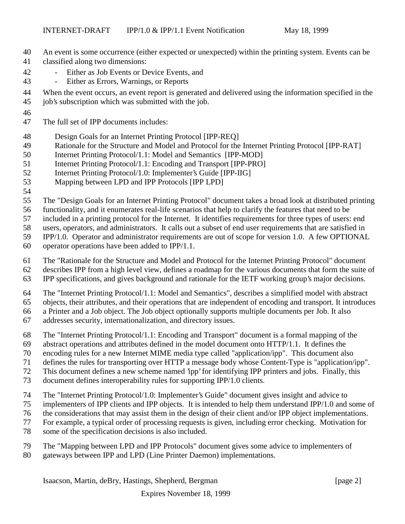- An event is some occurrence (either expected or unexpected) within the printing system. Events can be
- classified along two dimensions:
- Either as Job Events or Device Events, and
- Either as Errors, Warnings, or Reports
- When the event occurs, an event report is generated and delivered using the information specified in the
- job's subscription which was submitted with the job.
- 

The full set of IPP documents includes:

- Design Goals for an Internet Printing Protocol [IPP-REQ]
- Rationale for the Structure and Model and Protocol for the Internet Printing Protocol [IPP-RAT]
- Internet Printing Protocol/1.1: Model and Semantics [IPP-MOD]
- Internet Printing Protocol/1.1: Encoding and Transport [IPP-PRO]
- Internet Printing Protocol/1.0: Implementer's Guide [IPP-IIG]
- Mapping between LPD and IPP Protocols [IPP LPD]
- 

The "Design Goals for an Internet Printing Protocol" document takes a broad look at distributed printing

functionality, and it enumerates real-life scenarios that help to clarify the features that need to be

included in a printing protocol for the Internet. It identifies requirements for three types of users: end

users, operators, and administrators. It calls out a subset of end user requirements that are satisfied in

IPP/1.0. Operator and administrator requirements are out of scope for version 1.0. A few OPTIONAL

- operator operations have been added to IPP/1.1.
- The "Rationale for the Structure and Model and Protocol for the Internet Printing Protocol" document
- describes IPP from a high level view, defines a roadmap for the various documents that form the suite of
- IPP specifications, and gives background and rationale for the IETF working group's major decisions.

The "Internet Printing Protocol/1.1: Model and Semantics", describes a simplified model with abstract

objects, their attributes, and their operations that are independent of encoding and transport. It introduces

a Printer and a Job object. The Job object optionally supports multiple documents per Job. It also

- addresses security, internationalization, and directory issues.
- The "Internet Printing Protocol/1.1: Encoding and Transport" document is a formal mapping of the
- abstract operations and attributes defined in the model document onto HTTP/1.1. It defines the
- encoding rules for a new Internet MIME media type called "application/ipp". This document also
- defines the rules for transporting over HTTP a message body whose Content-Type is "application/ipp".
- This document defines a new scheme named 'ipp' for identifying IPP printers and jobs. Finally, this
- document defines interoperability rules for supporting IPP/1.0 clients.
- The "Internet Printing Protocol/1.0: Implementer's Guide" document gives insight and advice to
- implementers of IPP clients and IPP objects. It is intended to help them understand IPP/1.0 and some of
- the considerations that may assist them in the design of their client and/or IPP object implementations.
- For example, a typical order of processing requests is given, including error checking. Motivation for
- some of the specification decisions is also included.
- The "Mapping between LPD and IPP Protocols" document gives some advice to implementers of
- gateways between IPP and LPD (Line Printer Daemon) implementations.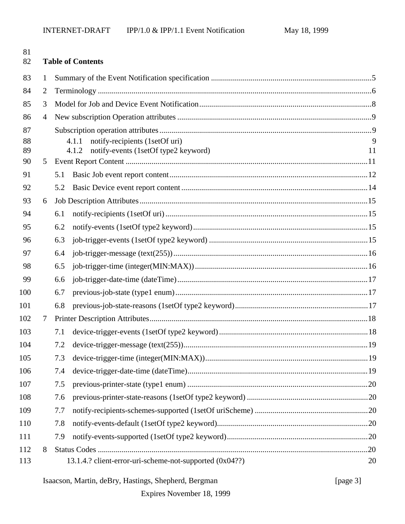| 81<br>82 |                | <b>Table of Contents</b>                                |    |  |  |
|----------|----------------|---------------------------------------------------------|----|--|--|
| 83       | 1              |                                                         |    |  |  |
| 84       | $\overline{2}$ |                                                         |    |  |  |
| 85       | 3              |                                                         |    |  |  |
| 86       | 4              |                                                         |    |  |  |
| 87       |                |                                                         |    |  |  |
| 88       |                | notify-recipients (1setOf uri)<br>4.1.1                 | 9  |  |  |
| 89<br>90 | 5              | notify-events (1setOf type2 keyword)<br>4.1.2           | 11 |  |  |
| 91       |                | 5.1                                                     |    |  |  |
| 92       |                | 5.2                                                     |    |  |  |
| 93       | 6              |                                                         |    |  |  |
| 94       |                | 6.1                                                     |    |  |  |
| 95       |                | 6.2                                                     |    |  |  |
| 96       |                | 6.3                                                     |    |  |  |
| 97       |                | 6.4                                                     |    |  |  |
| 98       |                | 6.5                                                     |    |  |  |
| 99       |                | 6.6                                                     |    |  |  |
| 100      |                | 6.7                                                     |    |  |  |
| 101      |                | 6.8                                                     |    |  |  |
| 102      | $\tau$         |                                                         |    |  |  |
| 103      |                | 7.1                                                     |    |  |  |
| 104      |                |                                                         |    |  |  |
| 105      |                | 7.3                                                     |    |  |  |
| 106      |                | 7.4                                                     |    |  |  |
| 107      |                | 7.5                                                     |    |  |  |
| 108      |                | 7.6                                                     |    |  |  |
| 109      |                | 7.7                                                     |    |  |  |
| 110      |                | 7.8                                                     |    |  |  |
| 111      |                | 7.9                                                     |    |  |  |
| 112      | 8              |                                                         |    |  |  |
| 113      |                | 13.1.4.? client-error-uri-scheme-not-supported (0x04??) | 20 |  |  |

# Isaacson, Martin, deBry, Hastings, Shepherd, Bergman [page 3]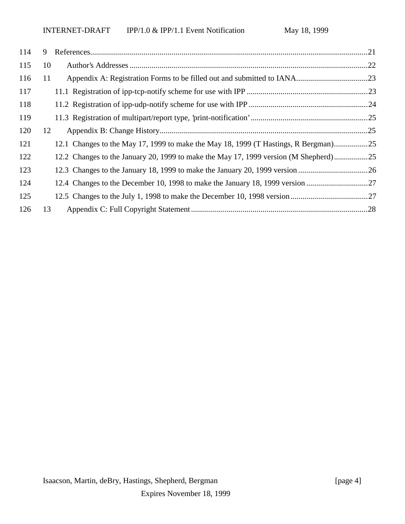| 114 | 9  |                                                                                      |  |
|-----|----|--------------------------------------------------------------------------------------|--|
| 115 | 10 |                                                                                      |  |
| 116 | 11 |                                                                                      |  |
| 117 |    |                                                                                      |  |
| 118 |    |                                                                                      |  |
| 119 |    |                                                                                      |  |
| 120 | 12 |                                                                                      |  |
| 121 |    | 12.1 Changes to the May 17, 1999 to make the May 18, 1999 (T Hastings, R Bergman)25  |  |
| 122 |    | 12.2 Changes to the January 20, 1999 to make the May 17, 1999 version (M Shepherd)25 |  |
| 123 |    |                                                                                      |  |
| 124 |    |                                                                                      |  |
| 125 |    |                                                                                      |  |
| 126 | 13 |                                                                                      |  |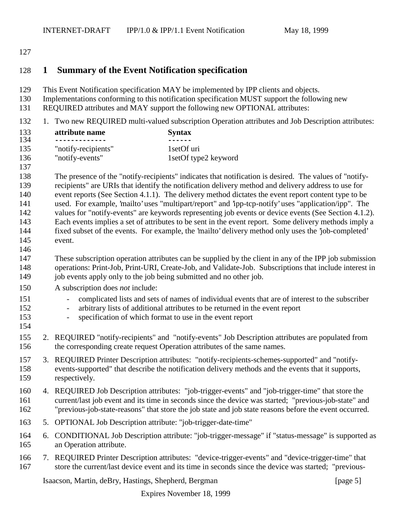#### 

## **1 Summary of the Event Notification specification**

- This Event Notification specification MAY be implemented by IPP clients and objects.
- Implementations conforming to this notification specification MUST support the following new
- REQUIRED attributes and MAY support the following new OPTIONAL attributes:
- 1. Two new REQUIRED multi-valued subscription Operation attributes and Job Description attributes:

| 133 | attribute name      | <b>Syntax</b>        |
|-----|---------------------|----------------------|
| 134 |                     |                      |
| 135 | "notify-recipients" | 1 set Of uri         |
| 136 | "notify-events"     | 1setOf type2 keyword |
| 137 |                     |                      |

 The presence of the "notify-recipients" indicates that notification is desired. The values of "notify- recipients" are URIs that identify the notification delivery method and delivery address to use for event reports (See Section 4.1.1). The delivery method dictates the event report content type to be used. For example, 'mailto' uses "multipart/report" and 'ipp-tcp-notify' uses "application/ipp". The 142 values for "notify-events" are keywords representing job events or device events (See Section 4.1.2). Each events implies a set of attributes to be sent in the event report. Some delivery methods imply a fixed subset of the events. For example, the 'mailto' delivery method only uses the 'job-completed' event.

- These subscription operation attributes can be supplied by the client in any of the IPP job submission operations: Print-Job, Print-URI, Create-Job, and Validate-Job. Subscriptions that include interest in 149 job events apply only to the job being submitted and no other job.
- A subscription does *not* include:
- complicated lists and sets of names of individual events that are of interest to the subscriber
- arbitrary lists of additional attributes to be returned in the event report
- specification of which format to use in the event report
- 2. REQUIRED "notify-recipients" and "notify-events" Job Description attributes are populated from the corresponding create request Operation attributes of the same names.
- 3. REQUIRED Printer Description attributes: "notify-recipients-schemes-supported" and "notify- events-supported" that describe the notification delivery methods and the events that it supports, respectively.
- 4. REQUIRED Job Description attributes: "job-trigger-events" and "job-trigger-time" that store the current/last job event and its time in seconds since the device was started; "previous-job-state" and "previous-job-state-reasons" that store the job state and job state reasons before the event occurred.
- 5. OPTIONAL Job Description attribute: "job-trigger-date-time"
- 6. CONDITIONAL Job Description attribute: "job-trigger-message" if "status-message" is supported as an Operation attribute.
- 7. REQUIRED Printer Description attributes: "device-trigger-events" and "device-trigger-time" that store the current/last device event and its time in seconds since the device was started; "previous-

Isaacson, Martin, deBry, Hastings, Shepherd, Bergman [page 5]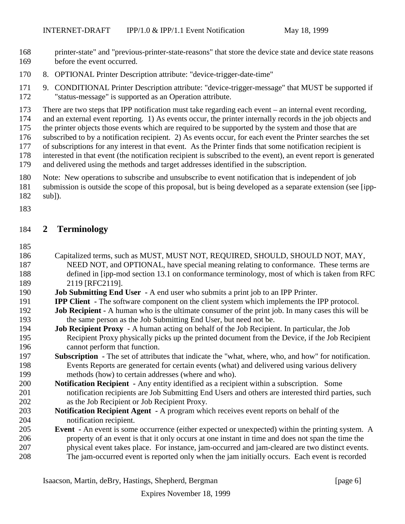- printer-state" and "previous-printer-state-reasons" that store the device state and device state reasons before the event occurred.
- 8. OPTIONAL Printer Description attribute: "device-trigger-date-time"
- 9. CONDITIONAL Printer Description attribute: "device-trigger-message" that MUST be supported if "status-message" is supported as an Operation attribute.
- There are two steps that IPP notification must take regarding each event an internal event recording,
- and an external event reporting. 1) As events occur, the printer internally records in the job objects and
- the printer objects those events which are required to be supported by the system and those that are
- subscribed to by a notification recipient. 2) As events occur, for each event the Printer searches the set
- of subscriptions for any interest in that event. As the Printer finds that some notification recipient is
- interested in that event (the notification recipient is subscribed to the event), an event report is generated
- and delivered using the methods and target addresses identified in the subscription.
- Note: New operations to subscribe and unsubscribe to event notification that is independent of job
- submission is outside the scope of this proposal, but is being developed as a separate extension (see [ipp-
- sub]).
- 

#### **2 Terminology**

- 
- Capitalized terms, such as MUST, MUST NOT, REQUIRED, SHOULD, SHOULD NOT, MAY, NEED NOT, and OPTIONAL, have special meaning relating to conformance. These terms are defined in [ipp-mod section 13.1 on conformance terminology, most of which is taken from RFC 2119 [RFC2119].
- **Job Submitting End User** A end user who submits a print job to an IPP Printer.
- **IPP Client** The software component on the client system which implements the IPP protocol.
- **Job Recipient** A human who is the ultimate consumer of the print job. In many cases this will be the same person as the Job Submitting End User, but need not be.
- **Job Recipient Proxy** A human acting on behalf of the Job Recipient. In particular, the Job Recipient Proxy physically picks up the printed document from the Device, if the Job Recipient cannot perform that function.
- **Subscription** The set of attributes that indicate the "what, where, who, and how" for notification. Events Reports are generated for certain events (what) and delivered using various delivery methods (how) to certain addresses (where and who).
- **Notification Recipient** Any entity identified as a recipient within a subscription. Some notification recipients are Job Submitting End Users and others are interested third parties, such as the Job Recipient or Job Recipient Proxy.
- **Notification Recipient Agent** A program which receives event reports on behalf of the notification recipient.
- **Event** An event is some occurrence (either expected or unexpected) within the printing system. A property of an event is that it only occurs at one instant in time and does not span the time the physical event takes place. For instance, jam-occurred and jam-cleared are two distinct events. The jam-occurred event is reported only when the jam initially occurs. Each event is recorded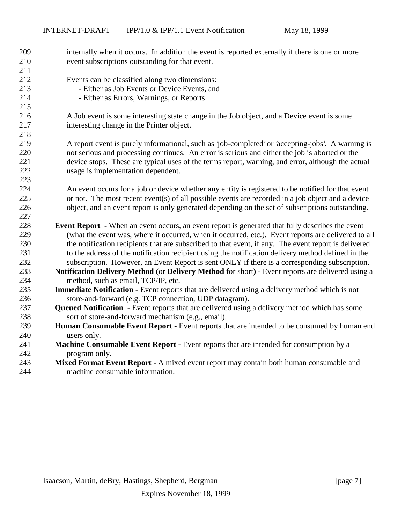| 209<br>210 | internally when it occurs. In addition the event is reported externally if there is one or more<br>event subscriptions outstanding for that event. |
|------------|----------------------------------------------------------------------------------------------------------------------------------------------------|
| 211        |                                                                                                                                                    |
| 212        | Events can be classified along two dimensions:                                                                                                     |
| 213        | - Either as Job Events or Device Events, and                                                                                                       |
| 214        | - Either as Errors, Warnings, or Reports                                                                                                           |
| 215        |                                                                                                                                                    |
| 216        | A Job event is some interesting state change in the Job object, and a Device event is some                                                         |
| 217        | interesting change in the Printer object.                                                                                                          |
| 218        |                                                                                                                                                    |
| 219        | A report event is purely informational, such as 'job-completed' or 'accepting-jobs'. A warning is                                                  |
| 220        | not serious and processing continues. An error is serious and either the job is aborted or the                                                     |
| 221        | device stops. These are typical uses of the terms report, warning, and error, although the actual                                                  |
| 222        | usage is implementation dependent.                                                                                                                 |
| 223        |                                                                                                                                                    |
| 224        | An event occurs for a job or device whether any entity is registered to be notified for that event                                                 |
| 225        | or not. The most recent event(s) of all possible events are recorded in a job object and a device                                                  |
| 226        | object, and an event report is only generated depending on the set of subscriptions outstanding.                                                   |
| 227        |                                                                                                                                                    |
| 228        | <b>Event Report</b> - When an event occurs, an event report is generated that fully describes the event                                            |
| 229        | (what the event was, where it occurred, when it occurred, etc.). Event reports are delivered to all                                                |
| 230        | the notification recipients that are subscribed to that event, if any. The event report is delivered                                               |
| 231        | to the address of the notification recipient using the notification delivery method defined in the                                                 |
| 232        | subscription. However, an Event Report is sent ONLY if there is a corresponding subscription.                                                      |
| 233        | Notification Delivery Method (or Delivery Method for short) - Event reports are delivered using a                                                  |
| 234        | method, such as email, TCP/IP, etc.                                                                                                                |
| 235        | <b>Immediate Notification -</b> Event reports that are delivered using a delivery method which is not                                              |
| 236        | store-and-forward (e.g. TCP connection, UDP datagram).                                                                                             |
| 237        | Queued Notification - Event reports that are delivered using a delivery method which has some                                                      |
| 238        | sort of store-and-forward mechanism (e.g., email).                                                                                                 |
| 239        | Human Consumable Event Report - Event reports that are intended to be consumed by human end                                                        |
| 240        | users only.                                                                                                                                        |
| 241        | Machine Consumable Event Report - Event reports that are intended for consumption by a                                                             |
| 242        | program only.                                                                                                                                      |
| 243        | Mixed Format Event Report - A mixed event report may contain both human consumable and                                                             |
| 244        | machine consumable information.                                                                                                                    |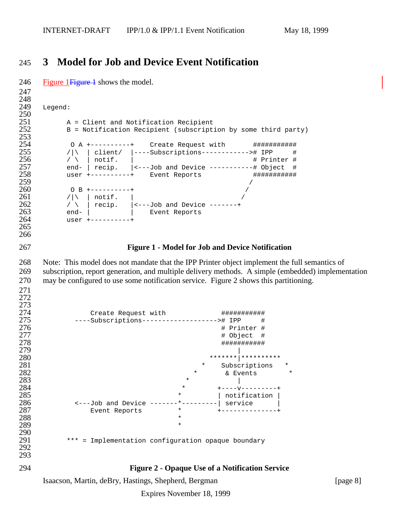# **3 Model for Job and Device Event Notification**

Isaacson, Martin, deBry, Hastings, Shepherd, Bergman [page 8] 246 Figure 1 Figure 1 shows the model. 248<br>249 Legend:  $\frac{250}{251}$ A = Client and Notification Recipient B = Notification Recipient (subscription by some third party) 252<br>253<br>254 254 0 A +----------+ Create Request with #############<br>255 /\\ | client/ |----Subscriptions-----------># IPP # /|\ | client/ |----Subscriptions-----------># IPP #<br> $256$  / \ | notif. | # Printer # / \ | notif. |  $\qquad$  # Printer # end- | recip. |<---Job and Device -----------# Object # user +----------+ Event Reports ########### O B +---------+ /|\ | notif. | / \ | recip.  $\vert$  <---Job and Device -------+ end-  $\vert$  end-  $\vert$  Event Reports user +----------+ **Figure 1 - Model for Job and Device Notification** Note: This model does not mandate that the IPP Printer object implement the full semantics of subscription, report generation, and multiple delivery methods. A simple (embedded) implementation may be configured to use some notification service. Figure 2 shows this partitioning.  $\frac{273}{274}$  Create Request with ########### ----Subscriptions-------------------># IPP # # Printer # # Object # ########### \*\*\*\*\*\*\*|\*\*\*\*\*\*\*\*\*\* \* Subscriptions \* **\*** & Events **283**   $*$  | **\*** \*  $+ - - - - - - - - - - +$  $\longrightarrow$  1 notification  $\mid$   $\longrightarrow$  1 notification  $\mid$  <---Job and Device -------\*---------| service | Event Reports \* +--------------+ \*  $*$ 290<br>291 \*\*\* = Implementation configuration opaque boundary **Figure 2 - Opaque Use of a Notification Service**

Expires November 18, 1999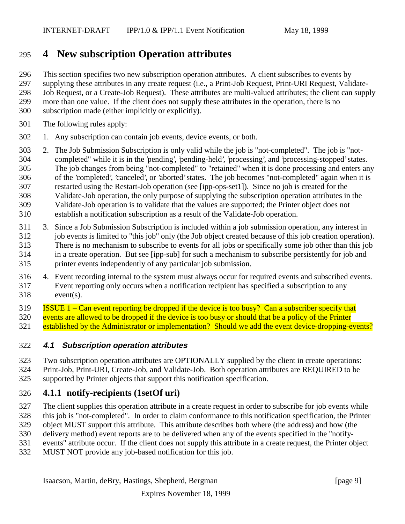# **4 New subscription Operation attributes**

This section specifies two new subscription operation attributes. A client subscribes to events by

supplying these attributes in any create request (i.e., a Print-Job Request, Print-URI Request, Validate-

Job Request, or a Create-Job Request). These attributes are multi-valued attributes; the client can supply

- more than one value. If the client does not supply these attributes in the operation, there is no
	- subscription made (either implicitly or explicitly).
	- The following rules apply:
	- 1. Any subscription can contain job events, device events, or both.
	- 2. The Job Submission Subscription is only valid while the job is "not-completed". The job is "not- completed" while it is in the 'pending', 'pending-held', 'processing', and 'processing-stopped' states. The job changes from being "not-completed" to "retained" when it is done processing and enters any of the 'completed', 'canceled', or 'aborted' states. The job becomes "not-completed" again when it is restarted using the Restart-Job operation (see [ipp-ops-set1]). Since no job is created for the Validate-Job operation, the only purpose of supplying the subscription operation attributes in the Validate-Job operation is to validate that the values are supported; the Printer object does not establish a notification subscription as a result of the Validate-Job operation.
	- 3. Since a Job Submission Subscription is included within a job submission operation, any interest in job events is limited to "this job" only (the Job object created because of this job creation operation). There is no mechanism to subscribe to events for all jobs or specifically some job other than this job in a create operation. But see [ipp-sub] for such a mechanism to subscribe persistently for job and printer events independently of any particular job submission.
	- 4. Event recording internal to the system must always occur for required events and subscribed events. Event reporting only occurs when a notification recipient has specified a subscription to any event(s).

ISSUE 1 – Can event reporting be dropped if the device is too busy? Can a subscriber specify that

events are allowed to be dropped if the device is too busy or should that be a policy of the Printer

established by the Administrator or implementation? Should we add the event device-dropping-events?

## **4.1 Subscription operation attributes**

- Two subscription operation attributes are OPTIONALLY supplied by the client in create operations:
- Print-Job, Print-URI, Create-Job, and Validate-Job. Both operation attributes are REQUIRED to be
- supported by Printer objects that support this notification specification.

# **4.1.1 notify-recipients (1setOf uri)**

- The client supplies this operation attribute in a create request in order to subscribe for job events while
- this job is "not-completed". In order to claim conformance to this notification specification, the Printer
- object MUST support this attribute. This attribute describes both where (the address) and how (the
- delivery method) event reports are to be delivered when any of the events specified in the "notify-
- events" attribute occur. If the client does not supply this attribute in a create request, the Printer object
- MUST NOT provide any job-based notification for this job.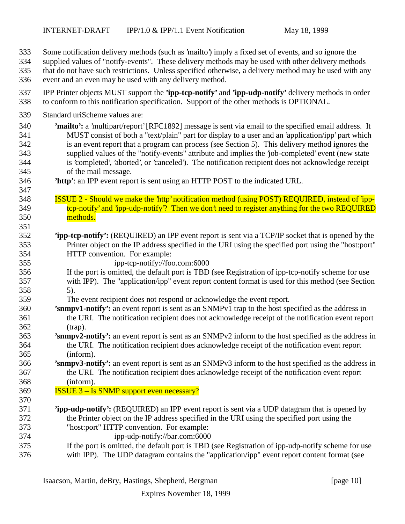- Some notification delivery methods (such as 'mailto') imply a fixed set of events, and so ignore the
- supplied values of "notify-events". These delivery methods may be used with other delivery methods
- that do not have such restrictions. Unless specified otherwise, a delivery method may be used with any
- event and an even may be used with any delivery method.
- IPP Printer objects MUST support the **'ipp-tcp-notify'** and **'ipp-udp-notify'** delivery methods in order to conform to this notification specification. Support of the other methods is OPTIONAL.
- Standard uriScheme values are:

- **'mailto':** a 'multipart/report' [RFC1892] message is sent via email to the specified email address. It MUST consist of both a "text/plain" part for display to a user and an 'application/ipp' part which is an event report that a program can process (see Section 5). This delivery method ignores the supplied values of the "notify-events" attribute and implies the 'job-completed' event (new state is 'completed', 'aborted', or 'canceled'). The notification recipient does not acknowledge receipt of the mail message.
- **'http'**: an IPP event report is sent using an HTTP POST to the indicated URL.
- ISSUE 2 Should we make the 'http' notification method (using POST) REQUIRED, instead of 'ipp-349 tcp-notify' and 'ipp-udp-notify'? Then we don't need to register anything for the two REQUIRED methods.
- **'ipp-tcp-notify':** (REQUIRED) an IPP event report is sent via a TCP/IP socket that is opened by the Printer object on the IP address specified in the URI using the specified port using the "host:port" HTTP convention. For example:
- ipp-tcp-notify://foo.com:6000
- If the port is omitted, the default port is TBD (see Registration of ipp-tcp-notify scheme for use with IPP). The "application/ipp" event report content format is used for this method (see Section 5).
- The event recipient does not respond or acknowledge the event report.
- **'snmpv1-notify':** an event report is sent as an SNMPv1 trap to the host specified as the address in the URI. The notification recipient does not acknowledge receipt of the notification event report (trap).
- **'snmpv2-notify':** an event report is sent as an SNMPv2 inform to the host specified as the address in the URI. The notification recipient does acknowledge receipt of the notification event report (inform).
- **'snmpv3-notify':** an event report is sent as an SNMPv3 inform to the host specified as the address in the URI. The notification recipient does acknowledge receipt of the notification event report (inform).
- ISSUE 3 Is SNMP support even necessary?
- **'ipp-udp-notify':** (REQUIRED) an IPP event report is sent via a UDP datagram that is opened by the Printer object on the IP address specified in the URI using the specified port using the "host:port" HTTP convention. For example: ipp-udp-notify://bar.com:6000
	-
- If the port is omitted, the default port is TBD (see Registration of ipp-udp-notify scheme for use with IPP). The UDP datagram contains the "application/ipp" event report content format (see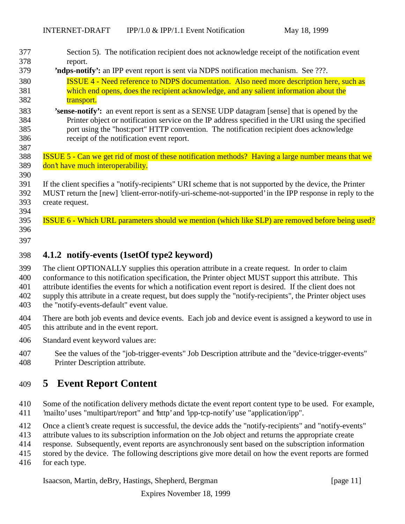| 377                                                                | Section 5). The notification recipient does not acknowledge receipt of the notification event                                                                                                                                                                                                                                                                                                                                                                                                                                                                                                                     |
|--------------------------------------------------------------------|-------------------------------------------------------------------------------------------------------------------------------------------------------------------------------------------------------------------------------------------------------------------------------------------------------------------------------------------------------------------------------------------------------------------------------------------------------------------------------------------------------------------------------------------------------------------------------------------------------------------|
| 378                                                                | report.                                                                                                                                                                                                                                                                                                                                                                                                                                                                                                                                                                                                           |
| 379                                                                | 'ndps-notify': an IPP event report is sent via NDPS notification mechanism. See ???.                                                                                                                                                                                                                                                                                                                                                                                                                                                                                                                              |
| 380                                                                | <b>ISSUE 4 - Need reference to NDPS documentation. Also need more description here, such as</b>                                                                                                                                                                                                                                                                                                                                                                                                                                                                                                                   |
| 381                                                                | which end opens, does the recipient acknowledge, and any salient information about the                                                                                                                                                                                                                                                                                                                                                                                                                                                                                                                            |
| 382<br>383<br>384<br>385<br>386<br>387<br>388<br>389<br>390<br>391 | transport.<br>'sense-notify': an event report is sent as a SENSE UDP datagram [sense] that is opened by the<br>Printer object or notification service on the IP address specified in the URI using the specified<br>port using the "host:port" HTTP convention. The notification recipient does acknowledge<br>receipt of the notification event report.<br>ISSUE 5 - Can we get rid of most of these notification methods? Having a large number means that we<br>don't have much interoperability.<br>If the client specifies a "notify-recipients" URI scheme that is not supported by the device, the Printer |
| 392<br>393<br>394<br>395<br>396                                    | MUST return the [new] 'client-error-notify-uri-scheme-not-supported' in the IPP response in reply to the<br>create request.<br>ISSUE 6 - Which URL parameters should we mention (which like SLP) are removed before being used?                                                                                                                                                                                                                                                                                                                                                                                   |
| 397                                                                |                                                                                                                                                                                                                                                                                                                                                                                                                                                                                                                                                                                                                   |
| 398                                                                | 4.1.2 notify-events (1setOf type2 keyword)                                                                                                                                                                                                                                                                                                                                                                                                                                                                                                                                                                        |
| 399                                                                | The client OPTIONALLY supplies this operation attribute in a create request. In order to claim                                                                                                                                                                                                                                                                                                                                                                                                                                                                                                                    |
| 400                                                                | conformance to this notification specification, the Printer object MUST support this attribute. This                                                                                                                                                                                                                                                                                                                                                                                                                                                                                                              |
| 401                                                                | attribute identifies the events for which a notification event report is desired. If the client does not                                                                                                                                                                                                                                                                                                                                                                                                                                                                                                          |
| 402                                                                | supply this attribute in a create request, but does supply the "notify-recipients", the Printer object uses                                                                                                                                                                                                                                                                                                                                                                                                                                                                                                       |
| 403                                                                | the "notify-events-default" event value.                                                                                                                                                                                                                                                                                                                                                                                                                                                                                                                                                                          |
| 404                                                                | There are both job events and device events. Each job and device event is assigned a keyword to use in                                                                                                                                                                                                                                                                                                                                                                                                                                                                                                            |
| 405                                                                | this attribute and in the event report.                                                                                                                                                                                                                                                                                                                                                                                                                                                                                                                                                                           |
| 406                                                                | Standard event keyword values are:                                                                                                                                                                                                                                                                                                                                                                                                                                                                                                                                                                                |
| 407                                                                | See the values of the "job-trigger-events" Job Description attribute and the "device-trigger-events"                                                                                                                                                                                                                                                                                                                                                                                                                                                                                                              |
| 408                                                                | Printer Description attribute.                                                                                                                                                                                                                                                                                                                                                                                                                                                                                                                                                                                    |
| 409                                                                | <b>Event Report Content</b><br>$\overline{5}$                                                                                                                                                                                                                                                                                                                                                                                                                                                                                                                                                                     |
| 410                                                                | Some of the notification delivery methods dictate the event report content type to be used. For example,                                                                                                                                                                                                                                                                                                                                                                                                                                                                                                          |
| 411                                                                | 'mailto' uses "multipart/report" and 'http' and 'ipp-tcp-notify' use "application/ipp".                                                                                                                                                                                                                                                                                                                                                                                                                                                                                                                           |
| 412                                                                | Once a client's create request is successful, the device adds the "notify-recipients" and "notify-events"                                                                                                                                                                                                                                                                                                                                                                                                                                                                                                         |
| 413                                                                | attribute values to its subscription information on the Job object and returns the appropriate create                                                                                                                                                                                                                                                                                                                                                                                                                                                                                                             |
| 414                                                                | response. Subsequently, event reports are asynchronously sent based on the subscription information                                                                                                                                                                                                                                                                                                                                                                                                                                                                                                               |
| 415                                                                | stored by the device. The following descriptions give more detail on how the event reports are formed                                                                                                                                                                                                                                                                                                                                                                                                                                                                                                             |

for each type.

Isaacson, Martin, deBry, Hastings, Shepherd, Bergman [page 11]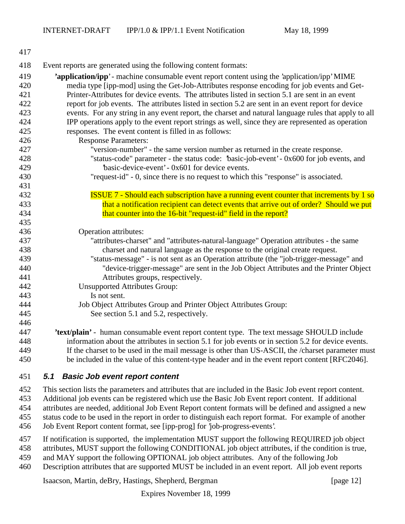| 417 |                                                                                                      |
|-----|------------------------------------------------------------------------------------------------------|
| 418 | Event reports are generated using the following content formats:                                     |
| 419 | 'application/ipp' - machine consumable event report content using the 'application/ipp' MIME         |
| 420 | media type [ipp-mod] using the Get-Job-Attributes response encoding for job events and Get-          |
| 421 | Printer-Attributes for device events. The attributes listed in section 5.1 are sent in an event      |
| 422 | report for job events. The attributes listed in section 5.2 are sent in an event report for device   |
| 423 | events. For any string in any event report, the charset and natural language rules that apply to all |
| 424 | IPP operations apply to the event report strings as well, since they are represented as operation    |
| 425 | responses. The event content is filled in as follows:                                                |
| 426 | <b>Response Parameters:</b>                                                                          |
| 427 | "version-number" - the same version number as returned in the create response.                       |
| 428 | "status-code" parameter - the status code: 'basic-job-event' - 0x600 for job events, and             |
| 429 | basic-device-event' - 0x601 for device events.                                                       |
| 430 | "request-id" - 0, since there is no request to which this "response" is associated.                  |
| 431 |                                                                                                      |
| 432 | <b>ISSUE 7 - Should each subscription have a running event counter that increments by 1 so</b>       |
| 433 | that a notification recipient can detect events that arrive out of order? Should we put              |
| 434 | that counter into the 16-bit "request-id" field in the report?                                       |
| 435 |                                                                                                      |
| 436 | Operation attributes:                                                                                |
| 437 | "attributes-charset" and "attributes-natural-language" Operation attributes - the same               |
| 438 | charset and natural language as the response to the original create request.                         |
| 439 | "status-message" - is not sent as an Operation attribute (the "job-trigger-message" and              |
| 440 | "device-trigger-message" are sent in the Job Object Attributes and the Printer Object                |
| 441 | Attributes groups, respectively.                                                                     |
| 442 | <b>Unsupported Attributes Group:</b>                                                                 |
| 443 | Is not sent.                                                                                         |
| 444 | Job Object Attributes Group and Printer Object Attributes Group:                                     |
| 445 | See section 5.1 and 5.2, respectively.                                                               |
| 446 |                                                                                                      |
| 447 | 'text/plain' - human consumable event report content type. The text message SHOULD include           |
| 448 | information about the attributes in section 5.1 for job events or in section 5.2 for device events.  |
| 449 | If the charset to be used in the mail message is other than US-ASCII, the /charset parameter must    |
| 450 | be included in the value of this content-type header and in the event report content [RFC2046].      |

### **5.1 Basic Job event report content**

This section lists the parameters and attributes that are included in the Basic Job event report content.

Additional job events can be registered which use the Basic Job Event report content. If additional

 attributes are needed, additional Job Event Report content formats will be defined and assigned a new status code to be used in the report in order to distinguish each report format. For example of another

Job Event Report content format, see [ipp-prog] for 'job-progress-events'.

- If notification is supported, the implementation MUST support the following REQUIRED job object
- attributes, MUST support the following CONDITIONAL job object attributes, if the condition is true,
- and MAY support the following OPTIONAL job object attributes. Any of the following Job
- Description attributes that are supported MUST be included in an event report. All job event reports

Isaacson, Martin, deBry, Hastings, Shepherd, Bergman [page 12]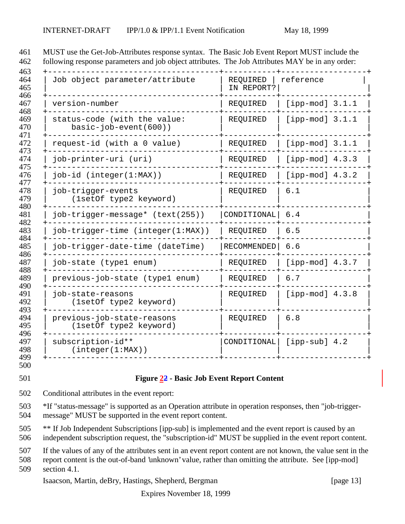| Job object parameter/attribute                          | REQUIRED<br>IN REPORT? | reference         |
|---------------------------------------------------------|------------------------|-------------------|
| version-number                                          | REQUIRED               | [ipp-mod] $3.1.1$ |
| status-code (with the value:<br>$basic-job-event(600))$ | REQUIRED               | [ipp-mod] $3.1.1$ |
| request-id (with a 0 value)                             | REQUIRED               | [ipp-mod] $3.1.1$ |
| job-printer-uri (uri)                                   | REQUIRED               | [ipp-mod] $4.3.3$ |
| $job-id$ (integer( $1:MAX$ ))                           | REQUIRED               | [ipp-mod] $4.3.2$ |
| job-trigger-events<br>(1setOf type2 keyword)            | REQUIRED               | 6.1               |
| job-trigger-message* (text(255))                        | CONDITIONAL            | $6.4$             |
| job-trigger-time (integer(1:MAX))                       | REQUIRED               | 6.5               |
| job-trigger-date-time (dateTime)                        | RECOMMENDED            | 6.6               |
| job-state (type1 enum)                                  | REQUIRED               | [ipp-mod] $4.3.7$ |
| previous-job-state (type1 enum)                         | REQUIRED               | 6.7               |
| job-state-reasons<br>(1setOf type2 keyword)             | REQUIRED               | [ipp-mod] $4.3.8$ |
| previous-job-state-reasons<br>(1setOf type2 keyword)    | REQUIRED               | 6.8               |
|                                                         | CONDITIONAL            | $[ipp-sub]$ 4.2   |

MUST use the Get-Job-Attributes response syntax. The Basic Job Event Report MUST include the

Conditional attributes in the event report:

 \*If "status-message" is supported as an Operation attribute in operation responses, then "job-trigger-message" MUST be supported in the event report content.

\*\* If Job Independent Subscriptions [ipp-sub] is implemented and the event report is caused by an

independent subscription request, the "subscription-id" MUST be supplied in the event report content.

If the values of any of the attributes sent in an event report content are not known, the value sent in the

 report content is the out-of-band 'unknown' value, rather than omitting the attribute. See [ipp-mod] section 4.1.

Isaacson, Martin, deBry, Hastings, Shepherd, Bergman [page 13]

Expires November 18, 1999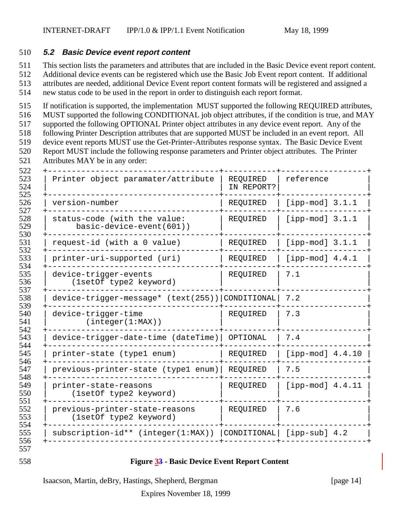#### **5.2 Basic Device event report content**

This section lists the parameters and attributes that are included in the Basic Device event report content.

Additional device events can be registered which use the Basic Job Event report content. If additional

 attributes are needed, additional Device Event report content formats will be registered and assigned a new status code to be used in the report in order to distinguish each report format.

If notification is supported, the implementation MUST supported the following REQUIRED attributes,

MUST supported the following CONDITIONAL job object attributes, if the condition is true, and MAY

supported the following OPTIONAL Printer object attributes in any device event report. Any of the

following Printer Description attributes that are supported MUST be included in an event report. All

 device event reports MUST use the Get-Printer-Attributes response syntax. The Basic Device Event Report MUST include the following response parameters and Printer object attributes. The Printer

- 
- Attributes MAY be in any order:

| Printer object paramater/attribute                       | REQUIRED<br>IN REPORT? | reference          |
|----------------------------------------------------------|------------------------|--------------------|
| version-number                                           | REQUIRED               | [ipp-mod] $3.1.1$  |
| status-code (with the value:<br>basic-device-event(601)) | REQUIRED               | [ipp-mod] $3.1.1$  |
| request-id (with a 0 value)                              | REQUIRED               | [ipp-mod] $3.1.1$  |
| printer-uri-supported (uri)                              | REQUIRED               | [ipp-mod] $4.4.1$  |
| device-trigger-events<br>(1setOf type2 keyword)          | REQUIRED               | 7.1                |
| device-trigger-message* (text(255)) CONDITIONAL          |                        | 7.2                |
| device-trigger-time<br>(integer(1:MAX))                  | REQUIRED               | 7.3                |
| device-trigger-date-time (dateTime)                      | OPTIONAL               | 7.4                |
| printer-state (typel enum)                               | REQUIRED               | $[ipp-mod]$ 4.4.10 |
| previous-printer-state (typel enum)                      | REQUIRED               | 7.5                |
| printer-state-reasons<br>(1setOf type2 keyword)          | REQUIRED               | [ipp-mod] $4.4.11$ |
| previous-printer-state-reasons<br>(1setOf type2 keyword) | REQUIRED               | 7.6                |
| subscription-id** (integer(1:MAX))                       | CONDITIONAL            | $[ipp-sub]$ 4.2    |

#### **Figure 33 - Basic Device Event Report Content**

Isaacson, Martin, deBry, Hastings, Shepherd, Bergman [page 14]

Expires November 18, 1999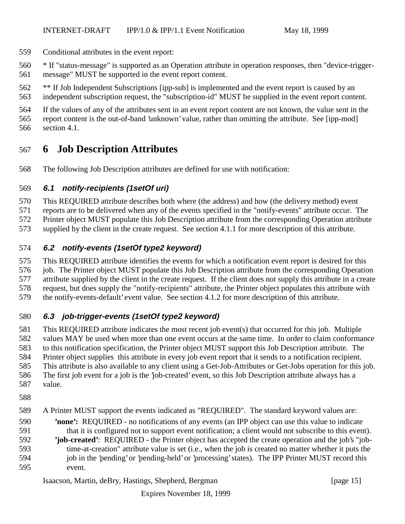- Conditional attributes in the event report:
- \* If "status-message" is supported as an Operation attribute in operation responses, then "device-trigger-message" MUST be supported in the event report content.
- \*\* If Job Independent Subscriptions [ipp-sub] is implemented and the event report is caused by an independent subscription request, the "subscription-id" MUST be supplied in the event report content.
- If the values of any of the attributes sent in an event report content are not known, the value sent in the
- report content is the out-of-band 'unknown' value, rather than omitting the attribute. See [ipp-mod] section 4.1.

# **6 Job Description Attributes**

The following Job Description attributes are defined for use with notification:

#### **6.1 notify-recipients (1setOf uri)**

- This REQUIRED attribute describes both where (the address) and how (the delivery method) event
- reports are to be delivered when any of the events specified in the "notify-events" attribute occur. The
- Printer object MUST populate this Job Description attribute from the corresponding Operation attribute
- supplied by the client in the create request. See section 4.1.1 for more description of this attribute.

### **6.2 notify-events (1setOf type2 keyword)**

- This REQUIRED attribute identifies the events for which a notification event report is desired for this 576 job. The Printer object MUST populate this Job Description attribute from the corresponding Operation
- attribute supplied by the client in the create request. If the client does not supply this attribute in a create
- request, but does supply the "notify-recipients" attribute, the Printer object populates this attribute with
- the notify-events-default' event value. See section 4.1.2 for more description of this attribute.

### **6.3 job-trigger-events (1setOf type2 keyword)**

- This REQUIRED attribute indicates the most recent job event(s) that occurred for this job. Multiple values MAY be used when more than one event occurs at the same time. In order to claim conformance to this notification specification, the Printer object MUST support this Job Description attribute. The Printer object supplies this attribute in every job event report that it sends to a notification recipient. This attribute is also available to any client using a Get-Job-Attributes or Get-Jobs operation for this job. The first job event for a job is the 'job-created' event, so this Job Description attribute always has a value.
- 
- 
- A Printer MUST support the events indicated as "REQUIRED". The standard keyword values are:
- **'none':** REQUIRED no notifications of any events (an IPP object can use this value to indicate that it is configured not to support event notification; a client would not subscribe to this event).
- **'job-created'**: REQUIRED the Printer object has accepted the create operation and the job's "job- time-at-creation" attribute value is set (i.e., when the job is created no matter whether it puts the 594 job in the 'pending' or 'pending-held' or 'processing' states). The IPP Printer MUST record this event.

Isaacson, Martin, deBry, Hastings, Shepherd, Bergman [page 15]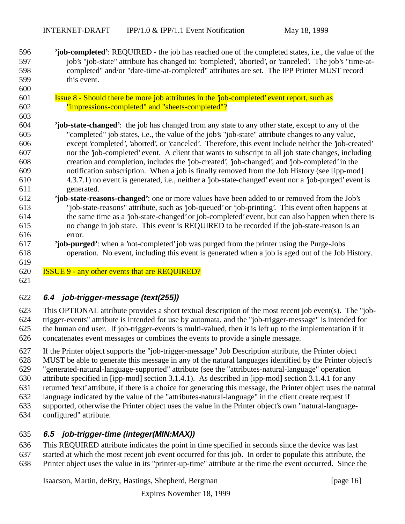- **'job-completed'**: REQUIRED the job has reached one of the completed states, i.e., the value of the job's "job-state" attribute has changed to: 'completed', 'aborted', or 'canceled'. The job's "time-at- completed" and/or "date-time-at-completed" attributes are set. The IPP Printer MUST record this event.
- **Issue 8 Should there be more job attributes in the 'job-completed' event report, such as** "impressions-completed" and "sheets-completed"?
- **'job-state-changed'**: the job has changed from any state to any other state, except to any of the "completed" job states, i.e., the value of the job's "job-state" attribute changes to any value, except 'completed', 'aborted', or 'canceled'. Therefore, this event include neither the 'job-created' nor the 'job-completed' event. A client that wants to subscript to all job state changes, including creation and completion, includes the 'job-created', 'job-changed', and 'job-completed' in the notification subscription. When a job is finally removed from the Job History (see [ipp-mod] 4.3.7.1) no event is generated, i.e., neither a 'job-state-changed' event nor a 'job-purged' event is generated.
- **'job**-**state-reasons-changed'**: one or more values have been added to or removed from the Job's "job-state-reasons" attribute, such as 'job-queued' or 'job-printing'. This event often happens at the same time as a 'job-state-changed' or job-completed' event, but can also happen when there is no change in job state. This event is REQUIRED to be recorded if the job-state-reason is an error.
- **'job-purged'**: when a 'not-completed' job was purged from the printer using the Purge-Jobs operation. No event, including this event is generated when a job is aged out of the Job History.
- ISSUE 9 any other events that are REQUIRED?

#### 

### **6.4 job-trigger-message (text(255))**

 This OPTIONAL attribute provides a short textual description of the most recent job event(s). The "job- trigger-events" attribute is intended for use by automata, and the "job-trigger-message" is intended for the human end user. If job-trigger-events is multi-valued, then it is left up to the implementation if it concatenates event messages or combines the events to provide a single message.

 If the Printer object supports the "job-trigger-message" Job Description attribute, the Printer object MUST be able to generate this message in any of the natural languages identified by the Printer object's "generated-natural-language-supported" attribute (see the "attributes-natural-language" operation attribute specified in [ipp-mod] section 3.1.4.1). As described in [ipp-mod] section 3.1.4.1 for any returned 'text' attribute, if there is a choice for generating this message, the Printer object uses the natural language indicated by the value of the "attributes-natural-language" in the client create request if supported, otherwise the Printer object uses the value in the Printer object's own "natural-language-

configured" attribute.

### **6.5 job-trigger-time (integer(MIN:MAX))**

This REQUIRED attribute indicates the point in time specified in seconds since the device was last

- started at which the most recent job event occurred for this job. In order to populate this attribute, the
- Printer object uses the value in its "printer-up-time" attribute at the time the event occurred. Since the

Isaacson, Martin, deBry, Hastings, Shepherd, Bergman [page 16]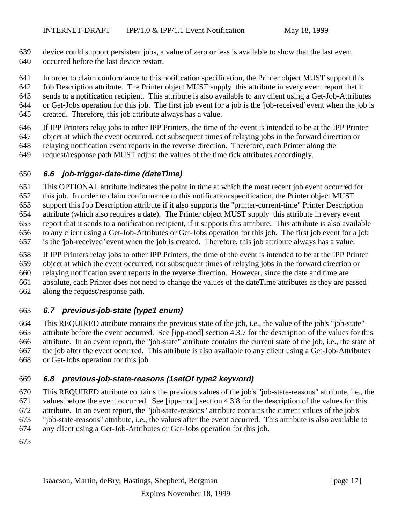- device could support persistent jobs, a value of zero or less is available to show that the last event occurred before the last device restart.
- In order to claim conformance to this notification specification, the Printer object MUST support this
- Job Description attribute. The Printer object MUST supply this attribute in every event report that it
- sends to a notification recipient. This attribute is also available to any client using a Get-Job-Attributes
- or Get-Jobs operation for this job. The first job event for a job is the 'job-received' event when the job is
- created. Therefore, this job attribute always has a value.
- If IPP Printers relay jobs to other IPP Printers, the time of the event is intended to be at the IPP Printer
- object at which the event occurred, not subsequent times of relaying jobs in the forward direction or
- relaying notification event reports in the reverse direction. Therefore, each Printer along the
- request/response path MUST adjust the values of the time tick attributes accordingly.

# **6.6 job-trigger-date-time (dateTime)**

- This OPTIONAL attribute indicates the point in time at which the most recent job event occurred for
- this job. In order to claim conformance to this notification specification, the Printer object MUST
- support this Job Description attribute if it also supports the "printer-current-time" Printer Description
- attribute (which also requires a date). The Printer object MUST supply this attribute in every event
- report that it sends to a notification recipient, if it supports this attribute. This attribute is also available
- to any client using a Get-Job-Attributes or Get-Jobs operation for this job. The first job event for a job
- is the 'job-received' event when the job is created. Therefore, this job attribute always has a value.
- If IPP Printers relay jobs to other IPP Printers, the time of the event is intended to be at the IPP Printer
- object at which the event occurred, not subsequent times of relaying jobs in the forward direction or
- relaying notification event reports in the reverse direction. However, since the date and time are
- absolute, each Printer does not need to change the values of the dateTime attributes as they are passed
- along the request/response path.

# **6.7 previous-job-state (type1 enum)**

 This REQUIRED attribute contains the previous state of the job, i.e., the value of the job's "job-state" attribute before the event occurred. See [ipp-mod] section 4.3.7 for the description of the values for this attribute. In an event report, the "job-state" attribute contains the current state of the job, i.e., the state of the job after the event occurred. This attribute is also available to any client using a Get-Job-Attributes or Get-Jobs operation for this job.

# **6.8 previous-job-state-reasons (1setOf type2 keyword)**

- This REQUIRED attribute contains the previous values of the job's "job-state-reasons" attribute, i.e., the values before the event occurred. See [ipp-mod] section 4.3.8 for the description of the values for this attribute. In an event report, the "job-state-reasons" attribute contains the current values of the job's "job-state-reasons" attribute, i.e., the values after the event occurred. This attribute is also available to any client using a Get-Job-Attributes or Get-Jobs operation for this job.
-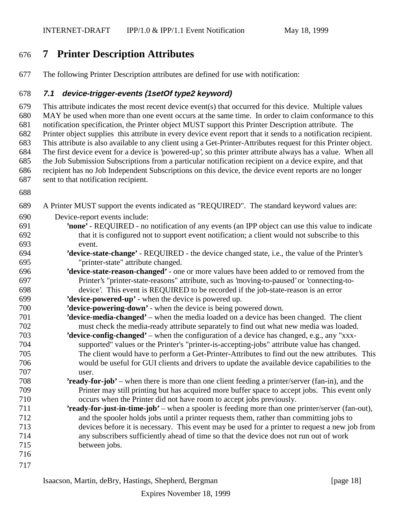# **7 Printer Description Attributes**

The following Printer Description attributes are defined for use with notification:

### **7.1 device-trigger-events (1setOf type2 keyword)**

 This attribute indicates the most recent device event(s) that occurred for this device. Multiple values MAY be used when more than one event occurs at the same time. In order to claim conformance to this notification specification, the Printer object MUST support this Printer Description attribute. The Printer object supplies this attribute in every device event report that it sends to a notification recipient. This attribute is also available to any client using a Get-Printer-Attributes request for this Printer object. The first device event for a device is 'powered-up', so this printer attribute always has a value. When all the Job Submission Subscriptions from a particular notification recipient on a device expire, and that recipient has no Job Independent Subscriptions on this device, the device event reports are no longer sent to that notification recipient.

- 
- A Printer MUST support the events indicated as "REQUIRED". The standard keyword values are: Device-report events include: **'none'** - REQUIRED - no notification of any events (an IPP object can use this value to indicate that it is configured not to support event notification; a client would not subscribe to this
- event. **'device-state-change'** - REQUIRED - the device changed state, i.e., the value of the Printer's "printer-state" attribute changed.
- **'device**-**state-reason-changed'** one or more values have been added to or removed from the Printer's "printer-state-reasons" attribute, such as 'moving-to-paused' or 'connecting-to-device'. This event is REQUIRED to be recorded if the job-state-reason is an error
- **'device-powered-up'** when the device is powered up.
- **'device-powering-down'**  when the device is being powered down.
- **'device-media-changed'** when the media loaded on a device has been changed. The client must check the media-ready attribute separately to find out what new media was loaded.
- **'device-config-changed'** when the configuration of a device has changed, e.g., any "xxx- supported" values or the Printer's "printer-is-accepting-jobs" attribute value has changed. The client would have to perform a Get-Printer-Attributes to find out the new attributes. This would be useful for GUI clients and drivers to update the available device capabilities to the user.
- **'ready-for-job'** when there is more than one client feeding a printer/server (fan-in), and the Printer may still printing but has acquired more buffer space to accept jobs. This event only occurs when the Printer did not have room to accept jobs previously.
- **'ready-for-just-in-time-job'** when a spooler is feeding more than one printer/server (fan-out), and the spooler holds jobs until a printer requests them, rather than committing jobs to devices before it is necessary. This event may be used for a printer to request a new job from any subscribers sufficiently ahead of time so that the device does not run out of work between jobs.
- 
-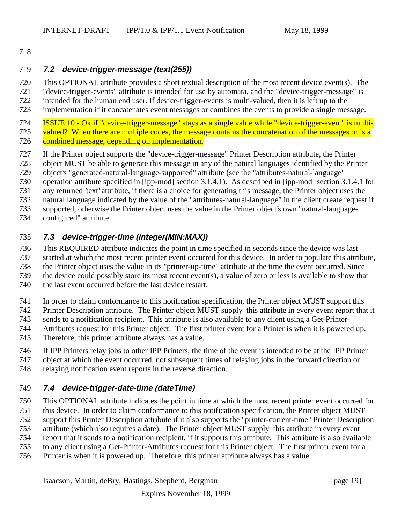#### 

#### **7.2 device-trigger-message (text(255))**

This OPTIONAL attribute provides a short textual description of the most recent device event(s). The

"device-trigger-events" attribute is intended for use by automata, and the "device-trigger-message" is

722 intended for the human end user. If device-trigger-events is multi-valued, then it is left up to the implementation if it concatenates event messages or combines the events to provide a single mes

implementation if it concatenates event messages or combines the events to provide a single message.

**ISSUE 10 - Ok if "device-trigger-message" stays as a single value while "device-trigger-event" is multi-**725 valued? When there are multiple codes, the message contains the concatenation of the messages or is a 726 combined message, depending on implementation.

- If the Printer object supports the "device-trigger-message" Printer Description attribute, the Printer
- object MUST be able to generate this message in any of the natural languages identified by the Printer

object's "generated-natural-language-supported" attribute (see the "attributes-natural-language"

operation attribute specified in [ipp-mod] section 3.1.4.1). As described in [ipp-mod] section 3.1.4.1 for

any returned 'text' attribute, if there is a choice for generating this message, the Printer object uses the

- natural language indicated by the value of the "attributes-natural-language" in the client create request if
- supported, otherwise the Printer object uses the value in the Printer object's own "natural-language-
- configured" attribute.

### **7.3 device-trigger-time (integer(MIN:MAX))**

This REQUIRED attribute indicates the point in time specified in seconds since the device was last

started at which the most recent printer event occurred for this device. In order to populate this attribute,

the Printer object uses the value in its "printer-up-time" attribute at the time the event occurred. Since

the device could possibly store its most recent event(s), a value of zero or less is available to show that

the last event occurred before the last device restart.

In order to claim conformance to this notification specification, the Printer object MUST support this

Printer Description attribute. The Printer object MUST supply this attribute in every event report that it

sends to a notification recipient. This attribute is also available to any client using a Get-Printer-

Attributes request for this Printer object. The first printer event for a Printer is when it is powered up.

Therefore, this printer attribute always has a value.

If IPP Printers relay jobs to other IPP Printers, the time of the event is intended to be at the IPP Printer

object at which the event occurred, not subsequent times of relaying jobs in the forward direction or

relaying notification event reports in the reverse direction.

### **7.4 device-trigger-date-time (dateTime)**

 This OPTIONAL attribute indicates the point in time at which the most recent printer event occurred for this device. In order to claim conformance to this notification specification, the Printer object MUST support this Printer Description attribute if it also supports the "printer-current-time" Printer Description attribute (which also requires a date). The Printer object MUST supply this attribute in every event report that it sends to a notification recipient, if it supports this attribute. This attribute is also available

to any client using a Get-Printer-Attributes request for this Printer object. The first printer event for a

Printer is when it is powered up. Therefore, this printer attribute always has a value.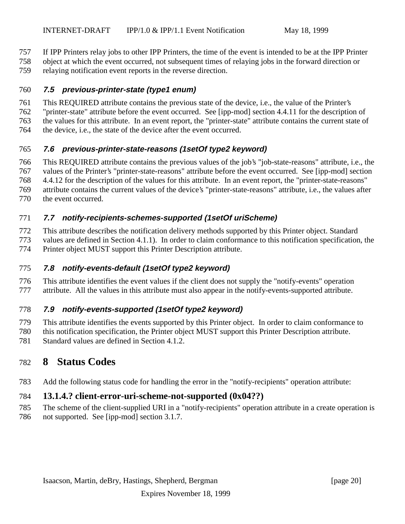If IPP Printers relay jobs to other IPP Printers, the time of the event is intended to be at the IPP Printer

object at which the event occurred, not subsequent times of relaying jobs in the forward direction or

relaying notification event reports in the reverse direction.

#### **7.5 previous-printer-state (type1 enum)**

This REQUIRED attribute contains the previous state of the device, i.e., the value of the Printer's

"printer-state" attribute before the event occurred. See [ipp-mod] section 4.4.11 for the description of

the values for this attribute. In an event report, the "printer-state" attribute contains the current state of

the device, i.e., the state of the device after the event occurred.

## **7.6 previous-printer-state-reasons (1setOf type2 keyword)**

This REQUIRED attribute contains the previous values of the job's "job-state-reasons" attribute, i.e., the

values of the Printer's "printer-state-reasons" attribute before the event occurred. See [ipp-mod] section

 4.4.12 for the description of the values for this attribute. In an event report, the "printer-state-reasons" attribute contains the current values of the device's "printer-state-reasons" attribute, i.e., the values after

the event occurred.

## **7.7 notify-recipients-schemes-supported (1setOf uriScheme)**

This attribute describes the notification delivery methods supported by this Printer object. Standard

values are defined in Section 4.1.1). In order to claim conformance to this notification specification, the

Printer object MUST support this Printer Description attribute.

### **7.8 notify-events-default (1setOf type2 keyword)**

 This attribute identifies the event values if the client does not supply the "notify-events" operation attribute. All the values in this attribute must also appear in the notify-events-supported attribute.

## **7.9 notify-events-supported (1setOf type2 keyword)**

This attribute identifies the events supported by this Printer object. In order to claim conformance to

this notification specification, the Printer object MUST support this Printer Description attribute.

Standard values are defined in Section 4.1.2.

# **8 Status Codes**

Add the following status code for handling the error in the "notify-recipients" operation attribute:

## **13.1.4.? client-error-uri-scheme-not-supported (0x04??)**

- The scheme of the client-supplied URI in a "notify-recipients" operation attribute in a create operation is
- not supported. See [ipp-mod] section 3.1.7.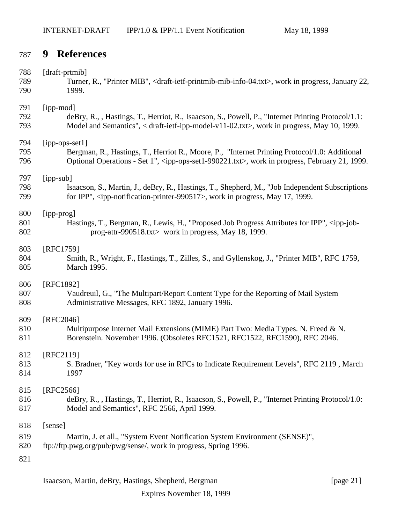# **9 References**

| 788                      | [draft-prtmib]                                                                                                                                             |
|--------------------------|------------------------------------------------------------------------------------------------------------------------------------------------------------|
| 789                      | Turner, R., "Printer MIB", <draft-ietf-printmib-mib-info-04.txt>, work in progress, January 22,</draft-ietf-printmib-mib-info-04.txt>                      |
| 790                      | 1999.                                                                                                                                                      |
| 791                      | [ipp-mod]                                                                                                                                                  |
| 792                      | deBry, R., , Hastings, T., Herriot, R., Isaacson, S., Powell, P., "Internet Printing Protocol/1.1:                                                         |
| 793                      | Model and Semantics", < draft-ietf-ipp-model-v11-02.txt>, work in progress, May 10, 1999.                                                                  |
| 794                      | [ipp-ops-set1]                                                                                                                                             |
| 795                      | Bergman, R., Hastings, T., Herriot R., Moore, P., "Internet Printing Protocol/1.0: Additional                                                              |
| 796                      | Optional Operations - Set 1", <ipp-ops-set1-990221.txt>, work in progress, February 21, 1999.</ipp-ops-set1-990221.txt>                                    |
| 797                      | [ipp-sub]                                                                                                                                                  |
| 798                      | Isaacson, S., Martin, J., deBry, R., Hastings, T., Shepherd, M., "Job Independent Subscriptions                                                            |
| 799                      | for IPP", <ipp-notification-printer-990517>, work in progress, May 17, 1999.</ipp-notification-printer-990517>                                             |
| 800                      | [ipp-prog]                                                                                                                                                 |
| 801                      | Hastings, T., Bergman, R., Lewis, H., "Proposed Job Progress Attributes for IPP", <ipp-job-< td=""></ipp-job-<>                                            |
| 802                      | prog-attr-990518.txt> work in progress, May 18, 1999.                                                                                                      |
| 803                      | [RFC1759]                                                                                                                                                  |
| 804                      | Smith, R., Wright, F., Hastings, T., Zilles, S., and Gyllenskog, J., "Printer MIB", RFC 1759,                                                              |
| 805                      | March 1995.                                                                                                                                                |
| 806                      | [RFC1892]                                                                                                                                                  |
| 807                      | Vaudreuil, G., "The Multipart/Report Content Type for the Reporting of Mail System                                                                         |
| 808                      | Administrative Messages, RFC 1892, January 1996.                                                                                                           |
| 809                      | [RFC2046]                                                                                                                                                  |
| 810                      | Multipurpose Internet Mail Extensions (MIME) Part Two: Media Types. N. Freed & N.                                                                          |
| 811                      | Borenstein. November 1996. (Obsoletes RFC1521, RFC1522, RFC1590), RFC 2046.                                                                                |
| 812                      | [RFC2119]                                                                                                                                                  |
| 813                      | S. Bradner, "Key words for use in RFCs to Indicate Requirement Levels", RFC 2119, March                                                                    |
| 814                      | 1997                                                                                                                                                       |
| 815                      | [RFC2566]                                                                                                                                                  |
| 816                      | deBry, R., , Hastings, T., Herriot, R., Isaacson, S., Powell, P., "Internet Printing Protocol/1.0:                                                         |
| 817                      | Model and Semantics", RFC 2566, April 1999.                                                                                                                |
| 818<br>819<br>820<br>821 | [sense]<br>Martin, J. et all., "System Event Notification System Environment (SENSE)",<br>ftp://ftp.pwg.org/pub/pwg/sense/, work in progress, Spring 1996. |
|                          |                                                                                                                                                            |

Isaacson, Martin, deBry, Hastings, Shepherd, Bergman [page 21]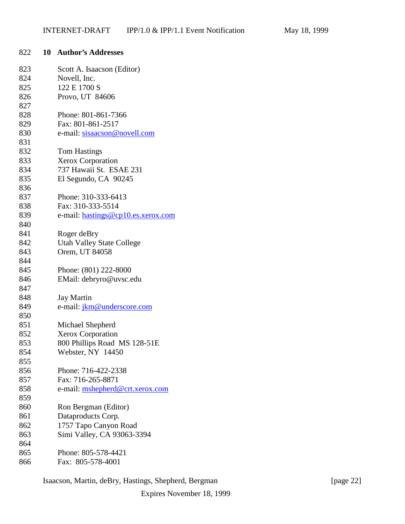| 822 | 10 | <b>Author's Addresses</b>          |
|-----|----|------------------------------------|
| 823 |    | Scott A. Isaacson (Editor)         |
| 824 |    | Novell, Inc.                       |
| 825 |    | 122 E 1700 S                       |
| 826 |    | Provo, UT 84606                    |
| 827 |    |                                    |
| 828 |    | Phone: 801-861-7366                |
| 829 |    | Fax: 801-861-2517                  |
| 830 |    | e-mail: sisaacson@novell.com       |
| 831 |    |                                    |
| 832 |    | <b>Tom Hastings</b>                |
| 833 |    | <b>Xerox Corporation</b>           |
| 834 |    | 737 Hawaii St. ESAE 231            |
| 835 |    | El Segundo, CA 90245               |
| 836 |    |                                    |
| 837 |    | Phone: 310-333-6413                |
| 838 |    | Fax: 310-333-5514                  |
| 839 |    | e-mail: hastings@cp10.es.xerox.com |
| 840 |    |                                    |
| 841 |    | Roger deBry                        |
| 842 |    | <b>Utah Valley State College</b>   |
| 843 |    | Orem, UT 84058                     |
| 844 |    |                                    |
| 845 |    | Phone: (801) 222-8000              |
| 846 |    | EMail: debryro@uvsc.edu            |
| 847 |    |                                    |
| 848 |    | <b>Jay Martin</b>                  |
| 849 |    | e-mail: jkm@underscore.com         |
| 850 |    |                                    |
| 851 |    | Michael Shepherd                   |
| 852 |    | Xerox Corporation                  |
| 853 |    | 800 Phillips Road MS 128-51E       |
| 854 |    | Webster, NY 14450                  |
| 855 |    |                                    |
| 856 |    | Phone: 716-422-2338                |
| 857 |    | Fax: 716-265-8871                  |
| 858 |    | e-mail: mshepherd@crt.xerox.com    |
| 859 |    |                                    |
| 860 |    | Ron Bergman (Editor)               |
| 861 |    | Dataproducts Corp.                 |
| 862 |    | 1757 Tapo Canyon Road              |
| 863 |    | Simi Valley, CA 93063-3394         |
| 864 |    |                                    |
| 865 |    | Phone: 805-578-4421                |
| 866 |    | Fax: 805-578-4001                  |

Isaacson, Martin, deBry, Hastings, Shepherd, Bergman [page 22]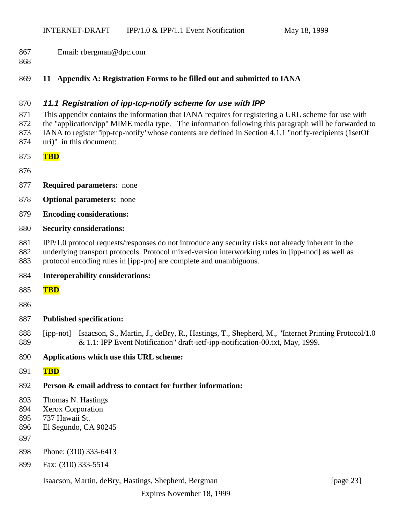- Email: rbergman@dpc.com
- 

#### **11 Appendix A: Registration Forms to be filled out and submitted to IANA**

#### **11.1 Registration of ipp-tcp-notify scheme for use with IPP**

 This appendix contains the information that IANA requires for registering a URL scheme for use with the "application/ipp" MIME media type. The information following this paragraph will be forwarded to IANA to register 'ipp-tcp-notify' whose contents are defined in Section 4.1.1 "notify-recipients (1setOf

- uri)" in this document:
- **TBD**
- 
- **Required parameters:** none
- **Optional parameters:** none
- **Encoding considerations:**

#### **Security considerations:**

- IPP/1.0 protocol requests/responses do not introduce any security risks not already inherent in the
- underlying transport protocols. Protocol mixed-version interworking rules in [ipp-mod] as well as
- protocol encoding rules in [ipp-pro] are complete and unambiguous.
- **Interoperability considerations:**
- **TBD**
- 

#### **Published specification:**

- [ipp-not] Isaacson, S., Martin, J., deBry, R., Hastings, T., Shepherd, M., "Internet Printing Protocol/1.0 & 1.1: IPP Event Notification" draft-ietf-ipp-notification-00.txt, May, 1999.
- **Applications which use this URL scheme:**
- **TBD**
- **Person & email address to contact for further information:**
- Thomas N. Hastings
- Xerox Corporation
- 737 Hawaii St.
- El Segundo, CA 90245
- 
- Phone: (310) 333-6413
- Fax: (310) 333-5514

#### Isaacson, Martin, deBry, Hastings, Shepherd, Bergman [page 23]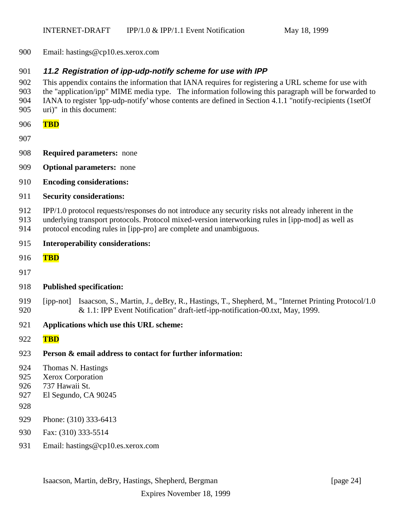Email: hastings@cp10.es.xerox.com

#### **11.2 Registration of ipp-udp-notify scheme for use with IPP**

 This appendix contains the information that IANA requires for registering a URL scheme for use with the "application/ipp" MIME media type. The information following this paragraph will be forwarded to

- IANA to register 'ipp-udp-notify' whose contents are defined in Section 4.1.1 "notify-recipients (1setOf
- uri)" in this document:
- **TBD**
- 
- **Required parameters:** none
- **Optional parameters:** none
- **Encoding considerations:**
- **Security considerations:**
- IPP/1.0 protocol requests/responses do not introduce any security risks not already inherent in the
- underlying transport protocols. Protocol mixed-version interworking rules in [ipp-mod] as well as
- protocol encoding rules in [ipp-pro] are complete and unambiguous.
- **Interoperability considerations:**
- **TBD**
- 
- **Published specification:**
- 919 [ipp-not] Isaacson, S., Martin, J., deBry, R., Hastings, T., Shepherd, M., "Internet Printing Protocol/1.0 & 1.1: IPP Event Notification" draft-ietf-ipp-notification-00.txt, May, 1999.
- **Applications which use this URL scheme:**
- **TBD**
- **Person & email address to contact for further information:**
- Thomas N. Hastings
- Xerox Corporation
- 737 Hawaii St.
- El Segundo, CA 90245
- 
- Phone: (310) 333-6413
- Fax: (310) 333-5514
- Email: hastings@cp10.es.xerox.com

Isaacson, Martin, deBry, Hastings, Shepherd, Bergman [page 24]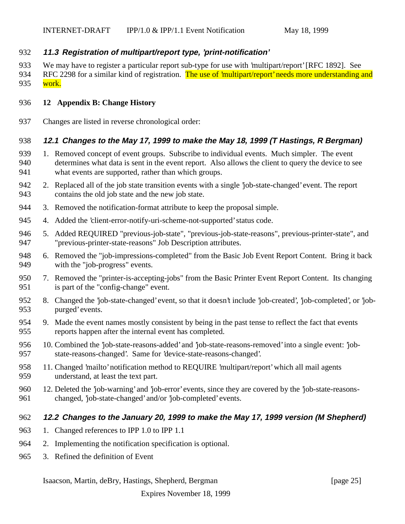#### **11.3 Registration of multipart/report type, 'print-notification'**

- We may have to register a particular report sub-type for use with 'multipart/report' [RFC 1892]. See
- 934 RFC 2298 for a similar kind of registration. The use of 'multipart/report' needs more understanding and 935 work.

#### **12 Appendix B: Change History**

Changes are listed in reverse chronological order:

#### **12.1 Changes to the May 17, 1999 to make the May 18, 1999 (T Hastings, R Bergman)**

- 1. Removed concept of event groups. Subscribe to individual events. Much simpler. The event determines what data is sent in the event report. Also allows the client to query the device to see what events are supported, rather than which groups.
- 2. Replaced all of the job state transition events with a single 'job-state-changed' event. The report contains the old job state and the new job state.
- 3. Removed the notification-format attribute to keep the proposal simple.
- 4. Added the 'client-error-notify-uri-scheme-not-supported' status code.
- 5. Added REQUIRED "previous-job-state", "previous-job-state-reasons", previous-printer-state", and "previous-printer-state-reasons" Job Description attributes.
- 6. Removed the "job-impressions-completed" from the Basic Job Event Report Content. Bring it back with the "job-progress" events.
- 7. Removed the "printer-is-accepting-jobs" from the Basic Printer Event Report Content. Its changing is part of the "config-change" event.
- 8. Changed the 'job-state-changed' event, so that it doesn't include 'job-created', 'job-completed', or 'job-purged' events.
- 9. Made the event names mostly consistent by being in the past tense to reflect the fact that events reports happen after the internal event has completed.
- 10. Combined the 'job-state-reasons-added' and 'job-state-reasons-removed' into a single event: 'job-state-reasons-changed'. Same for 'device-state-reasons-changed'.
- 11. Changed 'mailto' notification method to REQUIRE 'multipart/report' which all mail agents understand, at least the text part.
- 12. Deleted the 'job-warning' and 'job-error' events, since they are covered by the 'job-state-reasons-changed, 'job-state-changed' and/or 'job-completed' events.

#### **12.2 Changes to the January 20, 1999 to make the May 17, 1999 version (M Shepherd)**

- 1. Changed references to IPP 1.0 to IPP 1.1
- 2. Implementing the notification specification is optional.
- 3. Refined the definition of Event

### Isaacson, Martin, deBry, Hastings, Shepherd, Bergman [page 25]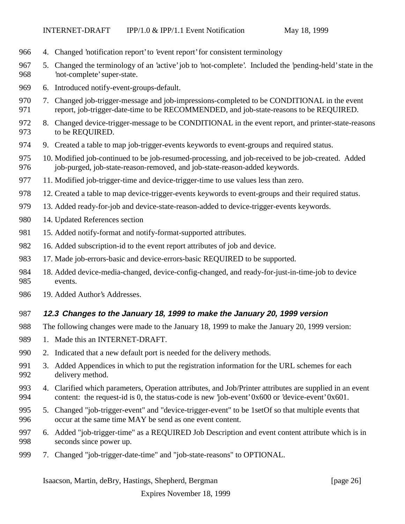- 4. Changed 'notification report' to 'event report' for consistent terminology
- 5. Changed the terminology of an 'active' job to 'not-complete'. Included the 'pending-held' state in the 'not-complete' super-state.
- 6. Introduced notify-event-groups-default.
- 7. Changed job-trigger-message and job-impressions-completed to be CONDITIONAL in the event report, job-trigger-date-time to be RECOMMENDED, and job-state-reasons to be REQUIRED.
- 8. Changed device-trigger-message to be CONDITIONAL in the event report, and printer-state-reasons to be REQUIRED.
- 9. Created a table to map job-trigger-events keywords to event-groups and required status.
- 10. Modified job-continued to be job-resumed-processing, and job-received to be job-created. Added 976 job-purged, job-state-reason-removed, and job-state-reason-added keywords.
- 11. Modified job-trigger-time and device-trigger-time to use values less than zero.
- 12. Created a table to map device-trigger-events keywords to event-groups and their required status.
- 13. Added ready-for-job and device-state-reason-added to device-trigger-events keywords.
- 14. Updated References section
- 981 15. Added notify-format and notify-format-supported attributes.
- 16. Added subscription-id to the event report attributes of job and device.
- 17. Made job-errors-basic and device-errors-basic REQUIRED to be supported.
- 18. Added device-media-changed, device-config-changed, and ready-for-just-in-time-job to device events.
- 19. Added Author's Addresses.

#### **12.3 Changes to the January 18, 1999 to make the January 20, 1999 version**

- The following changes were made to the January 18, 1999 to make the January 20, 1999 version:
- 989 1. Made this an INTERNET-DRAFT.
- 2. Indicated that a new default port is needed for the delivery methods.
- 3. Added Appendices in which to put the registration information for the URL schemes for each delivery method.
- 4. Clarified which parameters, Operation attributes, and Job/Printer attributes are supplied in an event content: the request-id is 0, the status-code is new 'job-event' 0x600 or 'device-event' 0x601.
- 5. Changed "job-trigger-event" and "device-trigger-event" to be 1setOf so that multiple events that occur at the same time MAY be send as one event content.
- 6. Added "job-trigger-time" as a REQUIRED Job Description and event content attribute which is in seconds since power up.
- 7. Changed "job-trigger-date-time" and "job-state-reasons" to OPTIONAL.

Isaacson, Martin, deBry, Hastings, Shepherd, Bergman [page 26]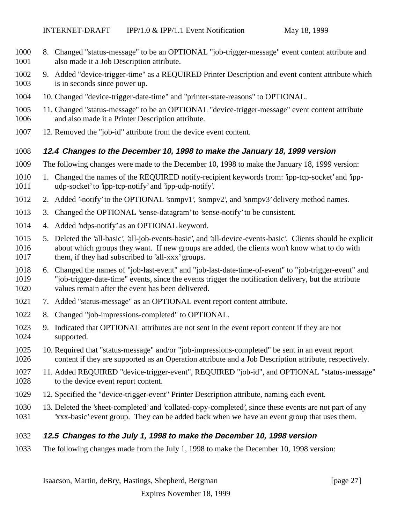- 8. Changed "status-message" to be an OPTIONAL "job-trigger-message" event content attribute and also made it a Job Description attribute.
- 9. Added "device-trigger-time" as a REQUIRED Printer Description and event content attribute which 1003 is in seconds since power up.
- 10. Changed "device-trigger-date-time" and "printer-state-reasons" to OPTIONAL.
- 11. Changed "status-message" to be an OPTIONAL "device-trigger-message" event content attribute and also made it a Printer Description attribute.
- 12. Removed the "job-id" attribute from the device event content.

#### **12.4 Changes to the December 10, 1998 to make the January 18, 1999 version**

- The following changes were made to the December 10, 1998 to make the January 18, 1999 version:
- 1. Changed the names of the REQUIRED notify-recipient keywords from: 'ipp-tcp-socket' and 'ipp-udp-socket' to 'ipp-tcp-notify' and 'ipp-udp-notify'.
- 2. Added '-notify' to the OPTIONAL 'snmpv1', 'snmpv2', and 'snmpv3' delivery method names.
- 3. Changed the OPTIONAL 'sense-datagram' to 'sense-notify' to be consistent.
- 4. Added 'ndps-notify' as an OPTIONAL keyword.
- 5. Deleted the 'all-basic', 'all-job-events-basic', and 'all-device-events-basic'. Clients should be explicit about which groups they want. If new groups are added, the clients won't know what to do with 1017 them, if they had subscribed to 'all-xxx' groups.
- 6. Changed the names of "job-last-event" and "job-last-date-time-of-event" to "job-trigger-event" and "job-trigger-date-time" events, since the events trigger the notification delivery, but the attribute values remain after the event has been delivered.
- 7. Added "status-message" as an OPTIONAL event report content attribute.
- 8. Changed "job-impressions-completed" to OPTIONAL.
- 9. Indicated that OPTIONAL attributes are not sent in the event report content if they are not supported.
- 10. Required that "status-message" and/or "job-impressions-completed" be sent in an event report content if they are supported as an Operation attribute and a Job Description attribute, respectively.
- 11. Added REQUIRED "device-trigger-event", REQUIRED "job-id", and OPTIONAL "status-message" to the device event report content.
- 12. Specified the "device-trigger-event" Printer Description attribute, naming each event.
- 13. Deleted the 'sheet-completed' and 'collated-copy-completed', since these events are not part of any 'xxx-basic' event group. They can be added back when we have an event group that uses them.

#### **12.5 Changes to the July 1, 1998 to make the December 10, 1998 version**

The following changes made from the July 1, 1998 to make the December 10, 1998 version: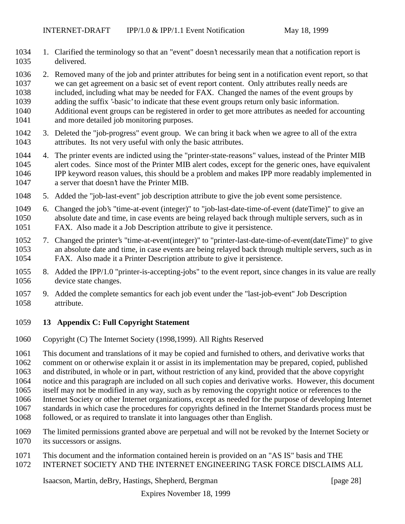1. Clarified the terminology so that an "event" doesn't necessarily mean that a notification report is delivered.

 2. Removed many of the job and printer attributes for being sent in a notification event report, so that we can get agreement on a basic set of event report content. Only attributes really needs are included, including what may be needed for FAX. Changed the names of the event groups by adding the suffix '-basic' to indicate that these event groups return only basic information. Additional event groups can be registered in order to get more attributes as needed for accounting and more detailed job monitoring purposes.

- 3. Deleted the "job-progress" event group. We can bring it back when we agree to all of the extra attributes. Its not very useful with only the basic attributes.
- 4. The printer events are indicted using the "printer-state-reasons" values, instead of the Printer MIB alert codes. Since most of the Printer MIB alert codes, except for the generic ones, have equivalent IPP keyword reason values, this should be a problem and makes IPP more readably implemented in a server that doesn't have the Printer MIB.
- 5. Added the "job-last-event" job description attribute to give the job event some persistence.
- 6. Changed the job's "time-at-event (integer)" to "job-last-date-time-of-event (dateTime)" to give an absolute date and time, in case events are being relayed back through multiple servers, such as in FAX. Also made it a Job Description attribute to give it persistence.
- 7. Changed the printer's "time-at-event(integer)" to "printer-last-date-time-of-event(dateTime)" to give an absolute date and time, in case events are being relayed back through multiple servers, such as in FAX. Also made it a Printer Description attribute to give it persistence.
- 8. Added the IPP/1.0 "printer-is-accepting-jobs" to the event report, since changes in its value are really device state changes.
- 9. Added the complete semantics for each job event under the "last-job-event" Job Description attribute.
- **13 Appendix C: Full Copyright Statement**
- Copyright (C) The Internet Society (1998,1999). All Rights Reserved

 This document and translations of it may be copied and furnished to others, and derivative works that comment on or otherwise explain it or assist in its implementation may be prepared, copied, published

and distributed, in whole or in part, without restriction of any kind, provided that the above copyright

notice and this paragraph are included on all such copies and derivative works. However, this document

- itself may not be modified in any way, such as by removing the copyright notice or references to the
- Internet Society or other Internet organizations, except as needed for the purpose of developing Internet
- standards in which case the procedures for copyrights defined in the Internet Standards process must be
- followed, or as required to translate it into languages other than English.
- The limited permissions granted above are perpetual and will not be revoked by the Internet Society or its successors or assigns.
- This document and the information contained herein is provided on an "AS IS" basis and THE
- INTERNET SOCIETY AND THE INTERNET ENGINEERING TASK FORCE DISCLAIMS ALL

Isaacson, Martin, deBry, Hastings, Shepherd, Bergman [page 28]